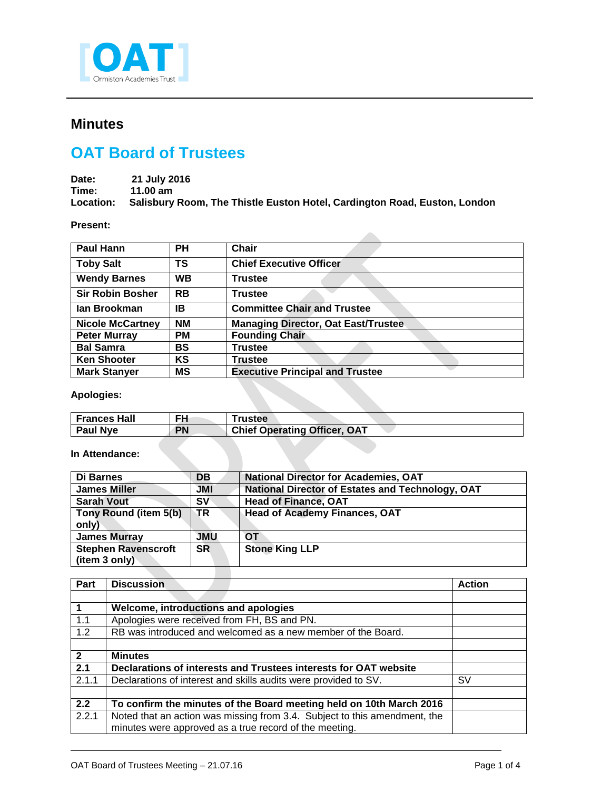

## **Minutes**

## **OAT Board of Trustees**

| Date: | 21 July 2016                                                                        |
|-------|-------------------------------------------------------------------------------------|
| Time: | 11.00 $am$                                                                          |
|       | Location: Salisbury Room, The Thistle Euston Hotel, Cardington Road, Euston, London |

## **Present:**

| <b>Paul Hann</b>        | PН        | <b>Chair</b>                               |
|-------------------------|-----------|--------------------------------------------|
| <b>Toby Salt</b>        | ΤS        | <b>Chief Executive Officer</b>             |
| <b>Wendy Barnes</b>     | <b>WB</b> | <b>Trustee</b>                             |
| <b>Sir Robin Bosher</b> | <b>RB</b> | <b>Trustee</b>                             |
| lan Brookman            | IB        | <b>Committee Chair and Trustee</b>         |
| <b>Nicole McCartney</b> | <b>NM</b> | <b>Managing Director, Oat East/Trustee</b> |
| <b>Peter Murray</b>     | <b>PM</b> | <b>Founding Chair</b>                      |
| <b>Bal Samra</b>        | BS        | <b>Trustee</b>                             |
| <b>Ken Shooter</b>      | KS        | <b>Trustee</b>                             |
| <b>Mark Stanyer</b>     | <b>MS</b> | <b>Executive Principal and Trustee</b>     |

## **Apologies:**

| <b>Frances Hall</b> | FH        | <b>Trustee</b>                      |
|---------------------|-----------|-------------------------------------|
| <b>Paul Nye</b>     | <b>PN</b> | <b>Chief Operating Officer, OAT</b> |
|                     |           |                                     |
| In Attondance:      |           |                                     |

**In Attendance:**

| Di Barnes                  | DB         | <b>National Director for Academies, OAT</b>      |
|----------------------------|------------|--------------------------------------------------|
| <b>James Miller</b>        | <b>JMI</b> | National Director of Estates and Technology, OAT |
| <b>Sarah Vout</b>          | <b>SV</b>  | <b>Head of Finance, OAT</b>                      |
| Tony Round (item 5(b)      | TR         | <b>Head of Academy Finances, OAT</b>             |
| only)                      |            |                                                  |
| <b>James Murray</b>        | <b>JMU</b> | OТ                                               |
| <b>Stephen Ravenscroft</b> | <b>SR</b>  | <b>Stone King LLP</b>                            |
| (item 3 only)              |            |                                                  |
|                            |            |                                                  |

| Part         | <b>Discussion</b>                                                         | <b>Action</b> |
|--------------|---------------------------------------------------------------------------|---------------|
|              |                                                                           |               |
|              | Welcome, introductions and apologies                                      |               |
| 1.1          | Apologies were received from FH, BS and PN.                               |               |
| 1.2          | RB was introduced and welcomed as a new member of the Board.              |               |
|              |                                                                           |               |
| $\mathbf{2}$ | <b>Minutes</b>                                                            |               |
| 2.1          | Declarations of interests and Trustees interests for OAT website          |               |
| 2.1.1        | Declarations of interest and skills audits were provided to SV.           | S٧            |
|              |                                                                           |               |
| 2.2          | To confirm the minutes of the Board meeting held on 10th March 2016       |               |
| 2.2.1        | Noted that an action was missing from 3.4. Subject to this amendment, the |               |
|              | minutes were approved as a true record of the meeting.                    |               |

j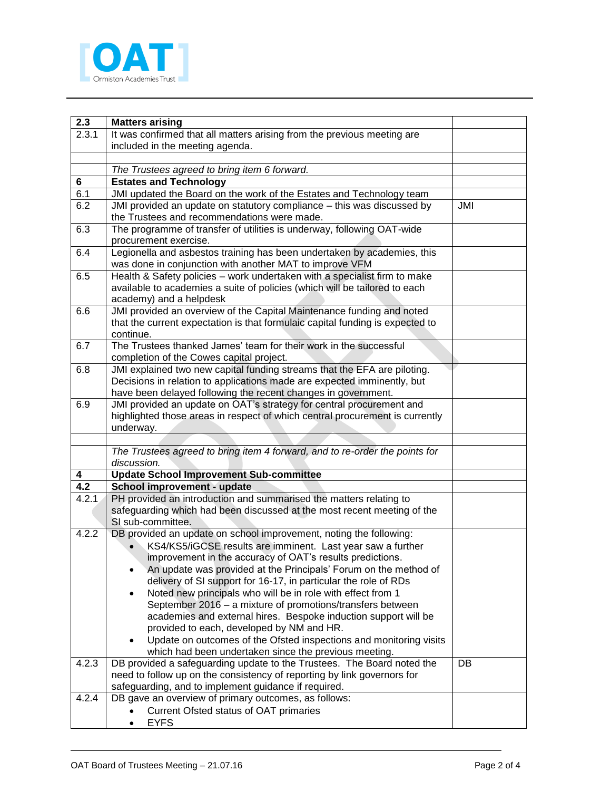

| 2.3   | <b>Matters arising</b>                                                                                                                                  |     |
|-------|---------------------------------------------------------------------------------------------------------------------------------------------------------|-----|
| 2.3.1 | It was confirmed that all matters arising from the previous meeting are                                                                                 |     |
|       | included in the meeting agenda.                                                                                                                         |     |
|       |                                                                                                                                                         |     |
|       | The Trustees agreed to bring item 6 forward.                                                                                                            |     |
| 6     | <b>Estates and Technology</b>                                                                                                                           |     |
| 6.1   | JMI updated the Board on the work of the Estates and Technology team                                                                                    |     |
| 6.2   | JMI provided an update on statutory compliance - this was discussed by                                                                                  | JMI |
|       | the Trustees and recommendations were made.                                                                                                             |     |
| 6.3   | The programme of transfer of utilities is underway, following OAT-wide                                                                                  |     |
|       | procurement exercise.                                                                                                                                   |     |
| 6.4   | Legionella and asbestos training has been undertaken by academies, this                                                                                 |     |
|       | was done in conjunction with another MAT to improve VFM                                                                                                 |     |
| 6.5   | Health & Safety policies - work undertaken with a specialist firm to make<br>available to academies a suite of policies (which will be tailored to each |     |
|       | academy) and a helpdesk                                                                                                                                 |     |
| 6.6   | JMI provided an overview of the Capital Maintenance funding and noted                                                                                   |     |
|       | that the current expectation is that formulaic capital funding is expected to                                                                           |     |
|       | continue.                                                                                                                                               |     |
| 6.7   | The Trustees thanked James' team for their work in the successful                                                                                       |     |
|       | completion of the Cowes capital project.                                                                                                                |     |
| 6.8   | JMI explained two new capital funding streams that the EFA are piloting.                                                                                |     |
|       | Decisions in relation to applications made are expected imminently, but                                                                                 |     |
|       | have been delayed following the recent changes in government.                                                                                           |     |
| 6.9   | JMI provided an update on OAT's strategy for central procurement and                                                                                    |     |
|       | highlighted those areas in respect of which central procurement is currently                                                                            |     |
|       | underway.                                                                                                                                               |     |
|       | The Trustees agreed to bring item 4 forward, and to re-order the points for                                                                             |     |
|       | discussion.                                                                                                                                             |     |
| 4     | <b>Update School Improvement Sub-committee</b>                                                                                                          |     |
| 4.2   | School improvement - update                                                                                                                             |     |
| 4.2.1 | PH provided an introduction and summarised the matters relating to                                                                                      |     |
|       | safeguarding which had been discussed at the most recent meeting of the                                                                                 |     |
|       | SI sub-committee.                                                                                                                                       |     |
| 4.2.2 | DB provided an update on school improvement, noting the following:                                                                                      |     |
|       | KS4/KS5/iGCSE results are imminent. Last year saw a further                                                                                             |     |
|       | improvement in the accuracy of OAT's results predictions.                                                                                               |     |
|       | An update was provided at the Principals' Forum on the method of                                                                                        |     |
|       | delivery of SI support for 16-17, in particular the role of RDs                                                                                         |     |
|       | Noted new principals who will be in role with effect from 1<br>$\bullet$                                                                                |     |
|       | September 2016 - a mixture of promotions/transfers between                                                                                              |     |
|       | academies and external hires. Bespoke induction support will be                                                                                         |     |
|       | provided to each, developed by NM and HR.<br>Update on outcomes of the Ofsted inspections and monitoring visits                                         |     |
|       | which had been undertaken since the previous meeting.                                                                                                   |     |
| 4.2.3 | DB provided a safeguarding update to the Trustees. The Board noted the                                                                                  | DB  |
|       | need to follow up on the consistency of reporting by link governors for                                                                                 |     |
|       | safeguarding, and to implement guidance if required.                                                                                                    |     |
| 4.2.4 | DB gave an overview of primary outcomes, as follows:                                                                                                    |     |
|       | Current Ofsted status of OAT primaries                                                                                                                  |     |
|       | <b>EYFS</b>                                                                                                                                             |     |

j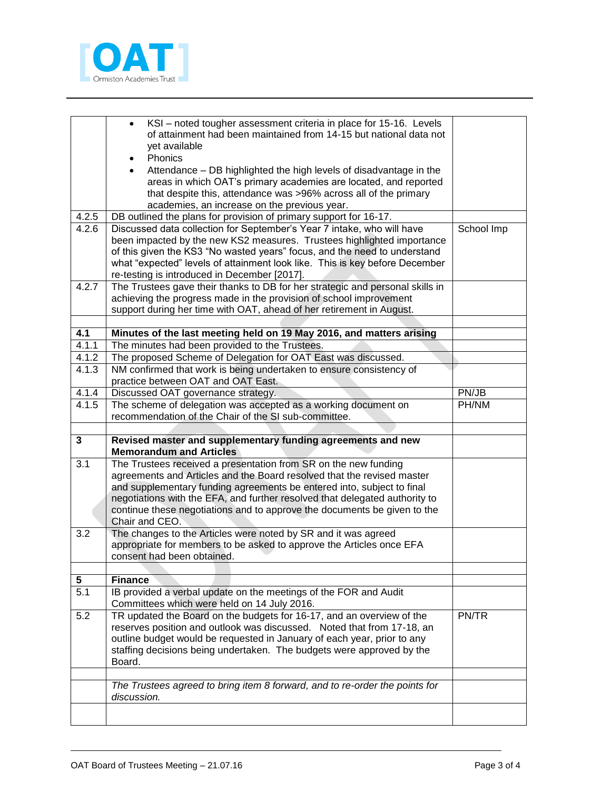

|                         | KSI - noted tougher assessment criteria in place for 15-16. Levels<br>of attainment had been maintained from 14-15 but national data not<br>yet available<br>Phonics<br>Attendance – DB highlighted the high levels of disadvantage in the                                                                                                                   |            |
|-------------------------|--------------------------------------------------------------------------------------------------------------------------------------------------------------------------------------------------------------------------------------------------------------------------------------------------------------------------------------------------------------|------------|
|                         | areas in which OAT's primary academies are located, and reported<br>that despite this, attendance was >96% across all of the primary<br>academies, an increase on the previous year.                                                                                                                                                                         |            |
| 4.2.5                   | DB outlined the plans for provision of primary support for 16-17.                                                                                                                                                                                                                                                                                            |            |
| 4.2.6                   | Discussed data collection for September's Year 7 intake, who will have<br>been impacted by the new KS2 measures. Trustees highlighted importance<br>of this given the KS3 "No wasted years" focus, and the need to understand<br>what "expected" levels of attainment look like. This is key before December<br>re-testing is introduced in December [2017]. | School Imp |
| 4.2.7                   | The Trustees gave their thanks to DB for her strategic and personal skills in<br>achieving the progress made in the provision of school improvement<br>support during her time with OAT, ahead of her retirement in August.                                                                                                                                  |            |
| 4.1                     | Minutes of the last meeting held on 19 May 2016, and matters arising                                                                                                                                                                                                                                                                                         |            |
| 4.1.1                   | The minutes had been provided to the Trustees.                                                                                                                                                                                                                                                                                                               |            |
| 4.1.2                   | The proposed Scheme of Delegation for OAT East was discussed.                                                                                                                                                                                                                                                                                                |            |
| 4.1.3                   | NM confirmed that work is being undertaken to ensure consistency of                                                                                                                                                                                                                                                                                          |            |
|                         | practice between OAT and OAT East.                                                                                                                                                                                                                                                                                                                           |            |
| 4.1.4                   | Discussed OAT governance strategy.                                                                                                                                                                                                                                                                                                                           | PN/JB      |
| 4.1.5                   | The scheme of delegation was accepted as a working document on                                                                                                                                                                                                                                                                                               | PH/NM      |
|                         | recommendation of the Chair of the SI sub-committee.                                                                                                                                                                                                                                                                                                         |            |
|                         |                                                                                                                                                                                                                                                                                                                                                              |            |
| $\overline{\mathbf{3}}$ | Revised master and supplementary funding agreements and new<br><b>Memorandum and Articles</b>                                                                                                                                                                                                                                                                |            |
| 3.1                     | The Trustees received a presentation from SR on the new funding                                                                                                                                                                                                                                                                                              |            |
|                         | agreements and Articles and the Board resolved that the revised master                                                                                                                                                                                                                                                                                       |            |
|                         | and supplementary funding agreements be entered into, subject to final                                                                                                                                                                                                                                                                                       |            |
|                         | negotiations with the EFA, and further resolved that delegated authority to                                                                                                                                                                                                                                                                                  |            |
|                         | continue these negotiations and to approve the documents be given to the<br>Chair and CEO.                                                                                                                                                                                                                                                                   |            |
| 3.2                     | The changes to the Articles were noted by SR and it was agreed                                                                                                                                                                                                                                                                                               |            |
|                         | appropriate for members to be asked to approve the Articles once EFA                                                                                                                                                                                                                                                                                         |            |
|                         | consent had been obtained.                                                                                                                                                                                                                                                                                                                                   |            |
|                         |                                                                                                                                                                                                                                                                                                                                                              |            |
| 5                       | <b>Finance</b>                                                                                                                                                                                                                                                                                                                                               |            |
| 5.1                     | IB provided a verbal update on the meetings of the FOR and Audit<br>Committees which were held on 14 July 2016.                                                                                                                                                                                                                                              |            |
| 5.2                     | TR updated the Board on the budgets for 16-17, and an overview of the<br>reserves position and outlook was discussed. Noted that from 17-18, an<br>outline budget would be requested in January of each year, prior to any<br>staffing decisions being undertaken. The budgets were approved by the<br>Board.                                                | PN/TR      |
|                         |                                                                                                                                                                                                                                                                                                                                                              |            |
|                         | The Trustees agreed to bring item 8 forward, and to re-order the points for<br>discussion.                                                                                                                                                                                                                                                                   |            |
|                         |                                                                                                                                                                                                                                                                                                                                                              |            |

j